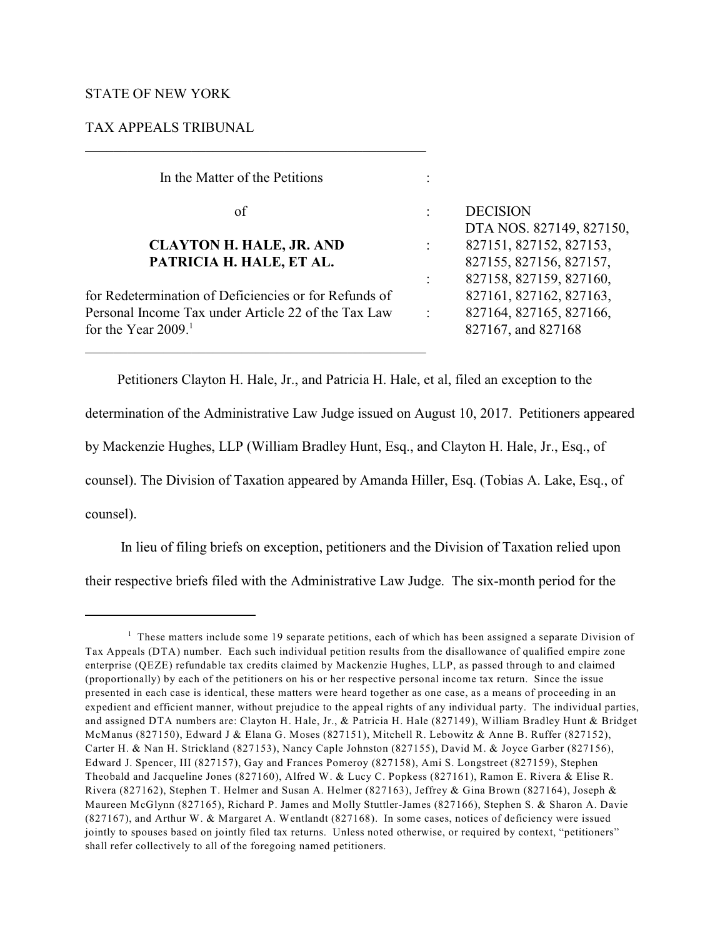# STATE OF NEW YORK

# TAX APPEALS TRIBUNAL

 In the Matter of the Petitions : of : DECISION DTA NOS. 827149, 827150, **CLAYTON H. HALE, JR. AND** :827151, 827152, 827153, **PATRICIA H. HALE, ET AL.** 827155, 827156, 827157, : 827158, 827159, 827160, for Redetermination of Deficiencies or for Refunds of 827161, 827162, 827163, Personal Income Tax under Article 22 of the Tax Law : 827164, 827165, 827166, for the Year 2009.<sup>1</sup> 827167, and 827168 \_\_\_\_\_\_\_\_\_\_\_\_\_\_\_\_\_\_\_\_\_\_\_\_\_\_\_\_\_\_\_\_\_\_\_\_\_\_\_\_\_\_\_\_\_\_\_\_

Petitioners Clayton H. Hale, Jr., and Patricia H. Hale, et al, filed an exception to the

determination of the Administrative Law Judge issued on August 10, 2017. Petitioners appeared

by Mackenzie Hughes, LLP (William Bradley Hunt, Esq., and Clayton H. Hale, Jr., Esq., of

counsel). The Division of Taxation appeared by Amanda Hiller, Esq. (Tobias A. Lake, Esq., of

counsel).

In lieu of filing briefs on exception, petitioners and the Division of Taxation relied upon their respective briefs filed with the Administrative Law Judge. The six-month period for the

 $1$  These matters include some 19 separate petitions, each of which has been assigned a separate Division of Tax Appeals (DTA) number. Each such individual petition results from the disallowance of qualified empire zone enterprise (QEZE) refundable tax credits claimed by Mackenzie Hughes, LLP, as passed through to and claimed (proportionally) by each of the petitioners on his or her respective personal income tax return. Since the issue presented in each case is identical, these matters were heard together as one case, as a means of proceeding in an expedient and efficient manner, without prejudice to the appeal rights of any individual party. The individual parties, and assigned DTA numbers are: Clayton H. Hale, Jr., & Patricia H. Hale (827149), William Bradley Hunt & Bridget McManus (827150), Edward J & Elana G. Moses (827151), Mitchell R. Lebowitz & Anne B. Ruffer (827152), Carter H. & Nan H. Strickland (827153), Nancy Caple Johnston (827155), David M. & Joyce Garber (827156), Edward J. Spencer, III (827157), Gay and Frances Pomeroy (827158), Ami S. Longstreet (827159), Stephen Theobald and Jacqueline Jones (827160), Alfred W. & Lucy C. Popkess (827161), Ramon E. Rivera & Elise R. Rivera (827162), Stephen T. Helmer and Susan A. Helmer (827163), Jeffrey & Gina Brown (827164), Joseph & Maureen McGlynn (827165), Richard P. James and Molly Stuttler-James (827166), Stephen S. & Sharon A. Davie (827167), and Arthur W. & Margaret A. Wentlandt (827168). In some cases, notices of deficiency were issued jointly to spouses based on jointly filed tax returns. Unless noted otherwise, or required by context, "petitioners" shall refer collectively to all of the foregoing named petitioners.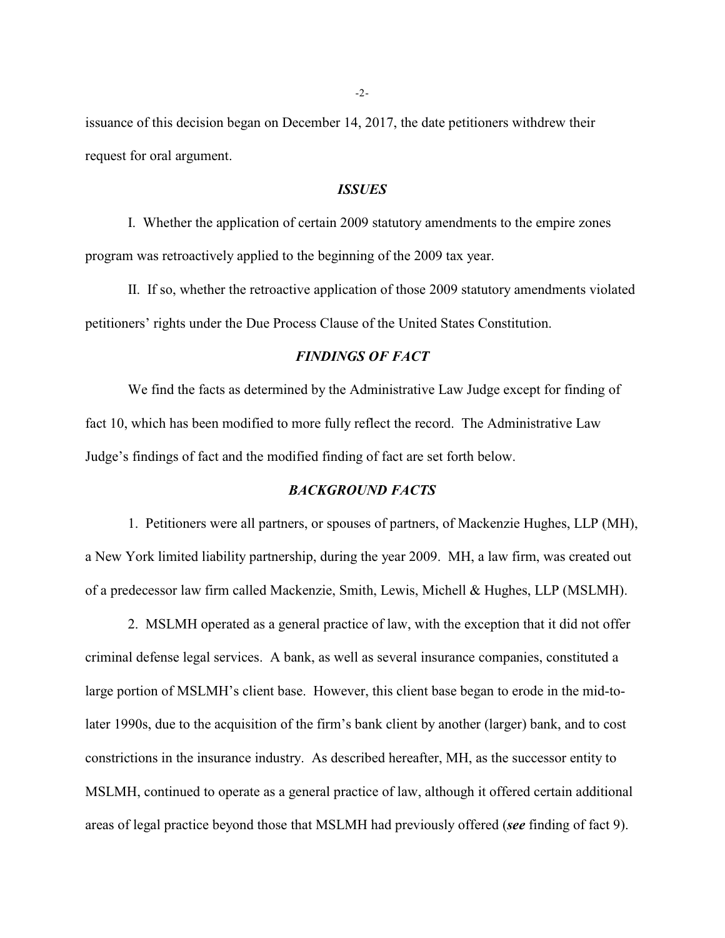issuance of this decision began on December 14, 2017, the date petitioners withdrew their request for oral argument.

### *ISSUES*

I. Whether the application of certain 2009 statutory amendments to the empire zones program was retroactively applied to the beginning of the 2009 tax year.

II. If so, whether the retroactive application of those 2009 statutory amendments violated petitioners' rights under the Due Process Clause of the United States Constitution.

#### *FINDINGS OF FACT*

We find the facts as determined by the Administrative Law Judge except for finding of fact 10, which has been modified to more fully reflect the record. The Administrative Law Judge's findings of fact and the modified finding of fact are set forth below.

# *BACKGROUND FACTS*

1. Petitioners were all partners, or spouses of partners, of Mackenzie Hughes, LLP (MH), a New York limited liability partnership, during the year 2009. MH, a law firm, was created out of a predecessor law firm called Mackenzie, Smith, Lewis, Michell & Hughes, LLP (MSLMH).

2. MSLMH operated as a general practice of law, with the exception that it did not offer criminal defense legal services. A bank, as well as several insurance companies, constituted a large portion of MSLMH's client base. However, this client base began to erode in the mid-tolater 1990s, due to the acquisition of the firm's bank client by another (larger) bank, and to cost constrictions in the insurance industry. As described hereafter, MH, as the successor entity to MSLMH, continued to operate as a general practice of law, although it offered certain additional areas of legal practice beyond those that MSLMH had previously offered (*see* finding of fact 9).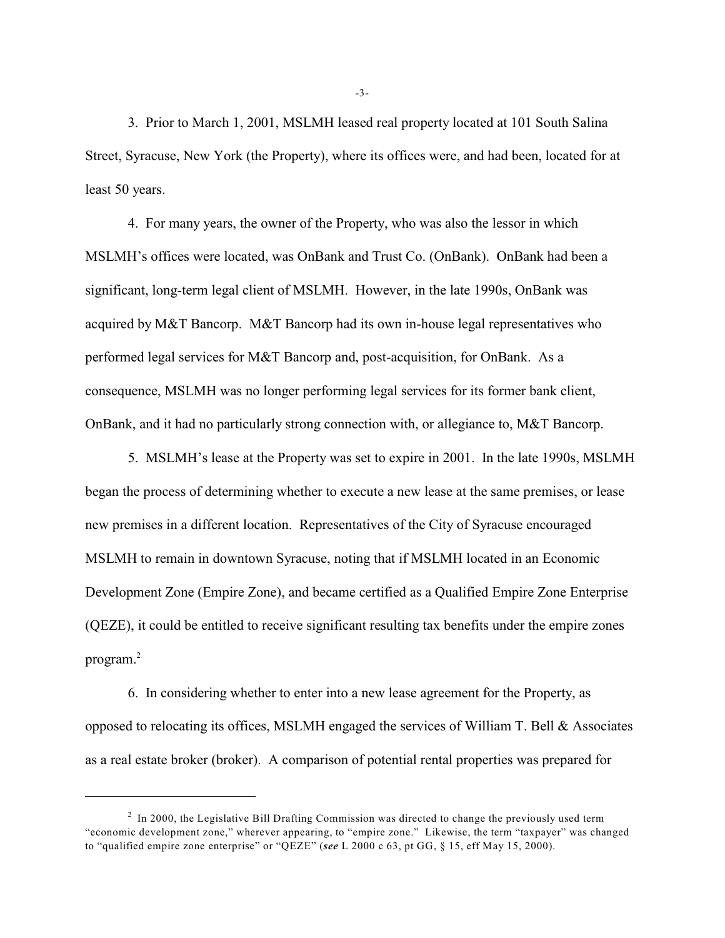3. Prior to March 1, 2001, MSLMH leased real property located at 101 South Salina Street, Syracuse, New York (the Property), where its offices were, and had been, located for at least 50 years.

4. For many years, the owner of the Property, who was also the lessor in which MSLMH's offices were located, was OnBank and Trust Co. (OnBank). OnBank had been a significant, long-term legal client of MSLMH. However, in the late 1990s, OnBank was acquired by M&T Bancorp. M&T Bancorp had its own in-house legal representatives who performed legal services for M&T Bancorp and, post-acquisition, for OnBank. As a consequence, MSLMH was no longer performing legal services for its former bank client, OnBank, and it had no particularly strong connection with, or allegiance to, M&T Bancorp.

5. MSLMH's lease at the Property was set to expire in 2001. In the late 1990s, MSLMH began the process of determining whether to execute a new lease at the same premises, or lease new premises in a different location. Representatives of the City of Syracuse encouraged MSLMH to remain in downtown Syracuse, noting that if MSLMH located in an Economic Development Zone (Empire Zone), and became certified as a Qualified Empire Zone Enterprise (QEZE), it could be entitled to receive significant resulting tax benefits under the empire zones program.<sup>2</sup>

6. In considering whether to enter into a new lease agreement for the Property, as opposed to relocating its offices, MSLMH engaged the services of William T. Bell & Associates as a real estate broker (broker). A comparison of potential rental properties was prepared for

-3-

 $\frac{2}{1}$  In 2000, the Legislative Bill Drafting Commission was directed to change the previously used term "economic development zone," wherever appearing, to "empire zone." Likewise, the term "taxpayer" was changed to "qualified empire zone enterprise" or "QEZE" (*see* L 2000 c 63, pt GG, § 15, eff May 15, 2000).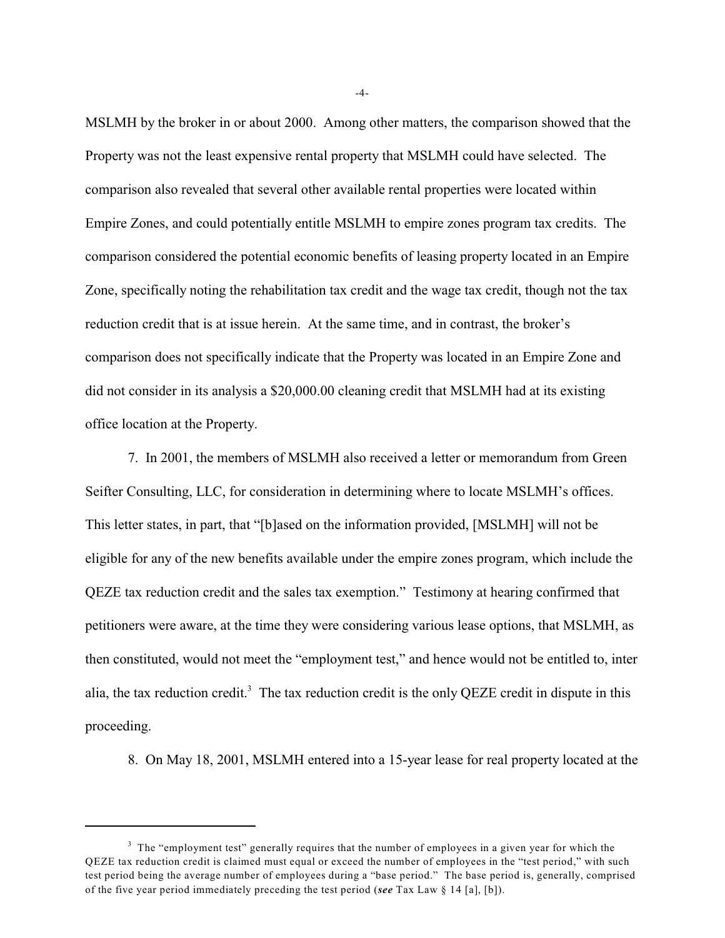MSLMH by the broker in or about 2000. Among other matters, the comparison showed that the Property was not the least expensive rental property that MSLMH could have selected. The comparison also revealed that several other available rental properties were located within Empire Zones, and could potentially entitle MSLMH to empire zones program tax credits. The comparison considered the potential economic benefits of leasing property located in an Empire Zone, specifically noting the rehabilitation tax credit and the wage tax credit, though not the tax reduction credit that is at issue herein. At the same time, and in contrast, the broker's comparison does not specifically indicate that the Property was located in an Empire Zone and did not consider in its analysis a \$20,000.00 cleaning credit that MSLMH had at its existing office location at the Property.

7. In 2001, the members of MSLMH also received a letter or memorandum from Green Seifter Consulting, LLC, for consideration in determining where to locate MSLMH's offices. This letter states, in part, that "[b]ased on the information provided, [MSLMH] will not be eligible for any of the new benefits available under the empire zones program, which include the QEZE tax reduction credit and the sales tax exemption." Testimony at hearing confirmed that petitioners were aware, at the time they were considering various lease options, that MSLMH, as then constituted, would not meet the "employment test," and hence would not be entitled to, inter alia, the tax reduction credit.<sup>3</sup> The tax reduction credit is the only QEZE credit in dispute in this proceeding.

8. On May 18, 2001, MSLMH entered into a 15-year lease for real property located at the

-4-

 $3$  The "employment test" generally requires that the number of employees in a given year for which the QEZE tax reduction credit is claimed must equal or exceed the number of employees in the "test period," with such test period being the average number of employees during a "base period." The base period is, generally, comprised of the five year period immediately preceding the test period (*see* Tax Law § 14 [a], [b]).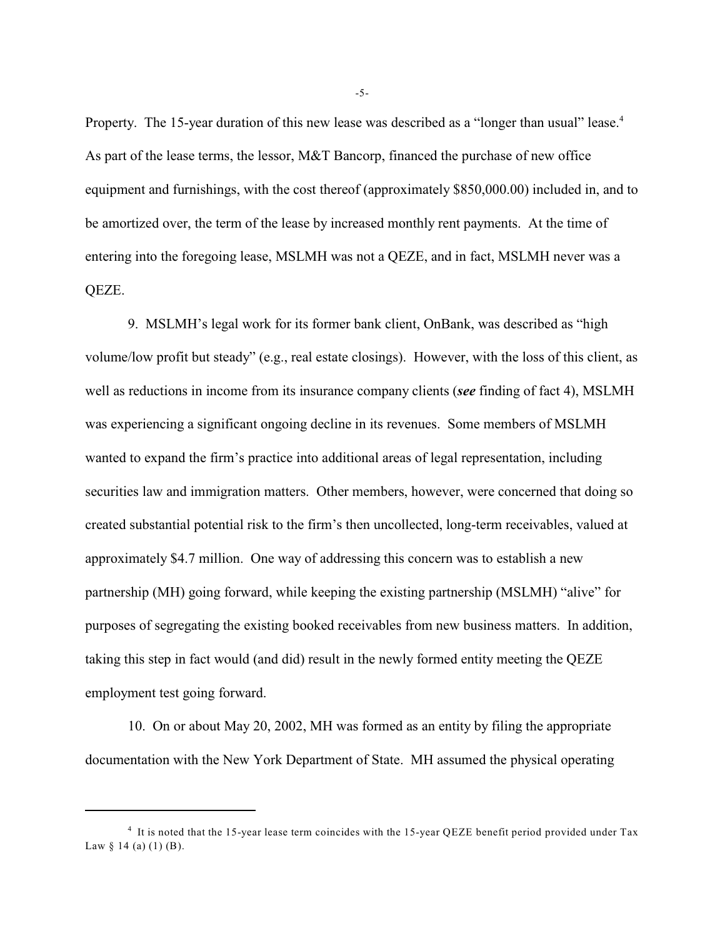Property. The 15-year duration of this new lease was described as a "longer than usual" lease.<sup>4</sup> As part of the lease terms, the lessor, M&T Bancorp, financed the purchase of new office equipment and furnishings, with the cost thereof (approximately \$850,000.00) included in, and to be amortized over, the term of the lease by increased monthly rent payments. At the time of entering into the foregoing lease, MSLMH was not a QEZE, and in fact, MSLMH never was a QEZE.

9. MSLMH's legal work for its former bank client, OnBank, was described as "high volume/low profit but steady" (e.g., real estate closings). However, with the loss of this client, as well as reductions in income from its insurance company clients (*see* finding of fact 4), MSLMH was experiencing a significant ongoing decline in its revenues. Some members of MSLMH wanted to expand the firm's practice into additional areas of legal representation, including securities law and immigration matters. Other members, however, were concerned that doing so created substantial potential risk to the firm's then uncollected, long-term receivables, valued at approximately \$4.7 million. One way of addressing this concern was to establish a new partnership (MH) going forward, while keeping the existing partnership (MSLMH) "alive" for purposes of segregating the existing booked receivables from new business matters. In addition, taking this step in fact would (and did) result in the newly formed entity meeting the QEZE employment test going forward.

10. On or about May 20, 2002, MH was formed as an entity by filing the appropriate documentation with the New York Department of State. MH assumed the physical operating

-5-

<sup>&</sup>lt;sup>4</sup> It is noted that the 15-year lease term coincides with the 15-year QEZE benefit period provided under Tax Law § 14 (a) (1) (B).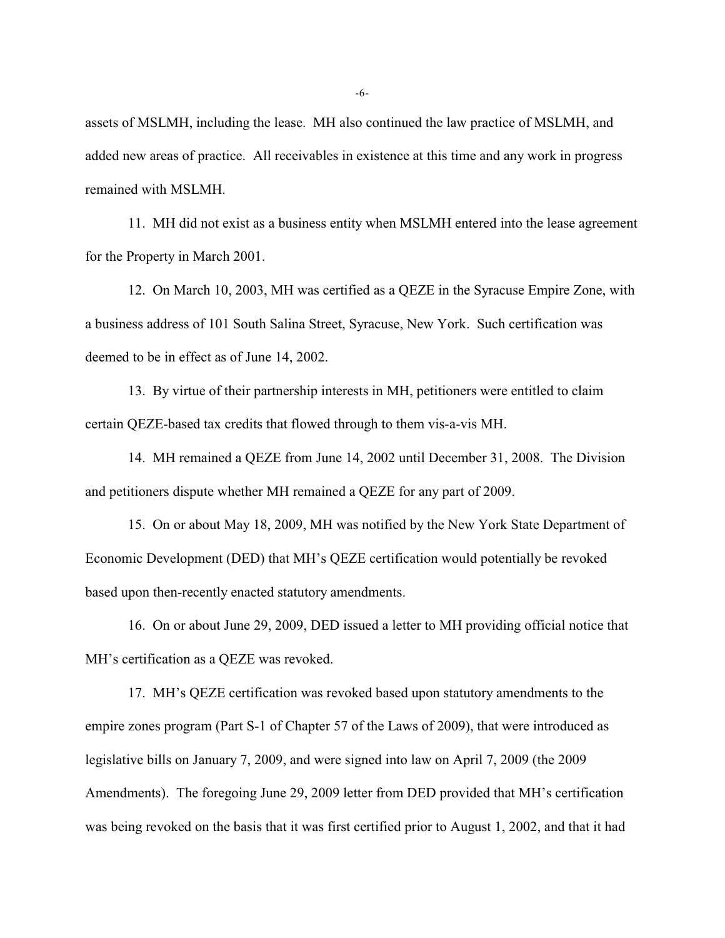assets of MSLMH, including the lease. MH also continued the law practice of MSLMH, and added new areas of practice. All receivables in existence at this time and any work in progress remained with MSLMH.

11. MH did not exist as a business entity when MSLMH entered into the lease agreement for the Property in March 2001.

12. On March 10, 2003, MH was certified as a QEZE in the Syracuse Empire Zone, with a business address of 101 South Salina Street, Syracuse, New York. Such certification was deemed to be in effect as of June 14, 2002.

13. By virtue of their partnership interests in MH, petitioners were entitled to claim certain QEZE-based tax credits that flowed through to them vis-a-vis MH.

14. MH remained a QEZE from June 14, 2002 until December 31, 2008. The Division and petitioners dispute whether MH remained a QEZE for any part of 2009.

 15. On or about May 18, 2009, MH was notified by the New York State Department of Economic Development (DED) that MH's QEZE certification would potentially be revoked based upon then-recently enacted statutory amendments.

16. On or about June 29, 2009, DED issued a letter to MH providing official notice that MH's certification as a QEZE was revoked.

17. MH's QEZE certification was revoked based upon statutory amendments to the empire zones program (Part S-1 of Chapter 57 of the Laws of 2009), that were introduced as legislative bills on January 7, 2009, and were signed into law on April 7, 2009 (the 2009 Amendments). The foregoing June 29, 2009 letter from DED provided that MH's certification was being revoked on the basis that it was first certified prior to August 1, 2002, and that it had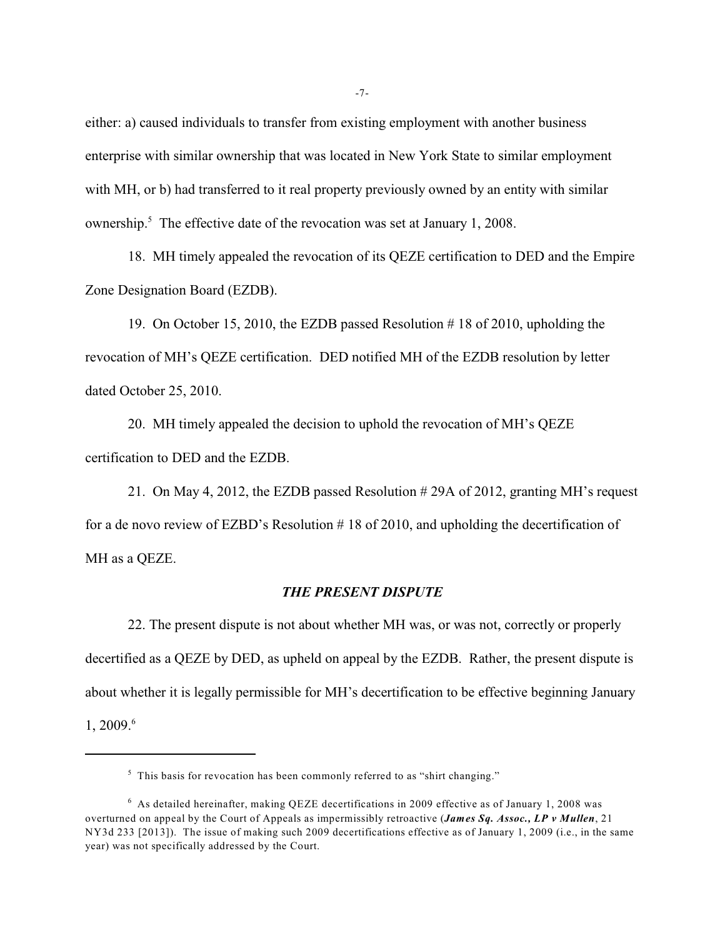either: a) caused individuals to transfer from existing employment with another business enterprise with similar ownership that was located in New York State to similar employment with MH, or b) had transferred to it real property previously owned by an entity with similar ownership.<sup>5</sup> The effective date of the revocation was set at January 1, 2008.

18. MH timely appealed the revocation of its QEZE certification to DED and the Empire Zone Designation Board (EZDB).

19. On October 15, 2010, the EZDB passed Resolution # 18 of 2010, upholding the revocation of MH's QEZE certification. DED notified MH of the EZDB resolution by letter dated October 25, 2010.

20. MH timely appealed the decision to uphold the revocation of MH's QEZE certification to DED and the EZDB.

21. On May 4, 2012, the EZDB passed Resolution # 29A of 2012, granting MH's request for a de novo review of EZBD's Resolution # 18 of 2010, and upholding the decertification of MH as a QEZE.

# *THE PRESENT DISPUTE*

22. The present dispute is not about whether MH was, or was not, correctly or properly decertified as a QEZE by DED, as upheld on appeal by the EZDB. Rather, the present dispute is about whether it is legally permissible for MH's decertification to be effective beginning January 1, 2009. 6

 $<sup>5</sup>$  This basis for revocation has been commonly referred to as "shirt changing."</sup>

 $6$  As detailed hereinafter, making QEZE decertifications in 2009 effective as of January 1, 2008 was overturned on appeal by the Court of Appeals as impermissibly retroactive (*James Sq. Assoc., LP v Mullen*, 21 NY3d 233 [2013]). The issue of making such 2009 decertifications effective as of January 1, 2009 (i.e., in the same year) was not specifically addressed by the Court.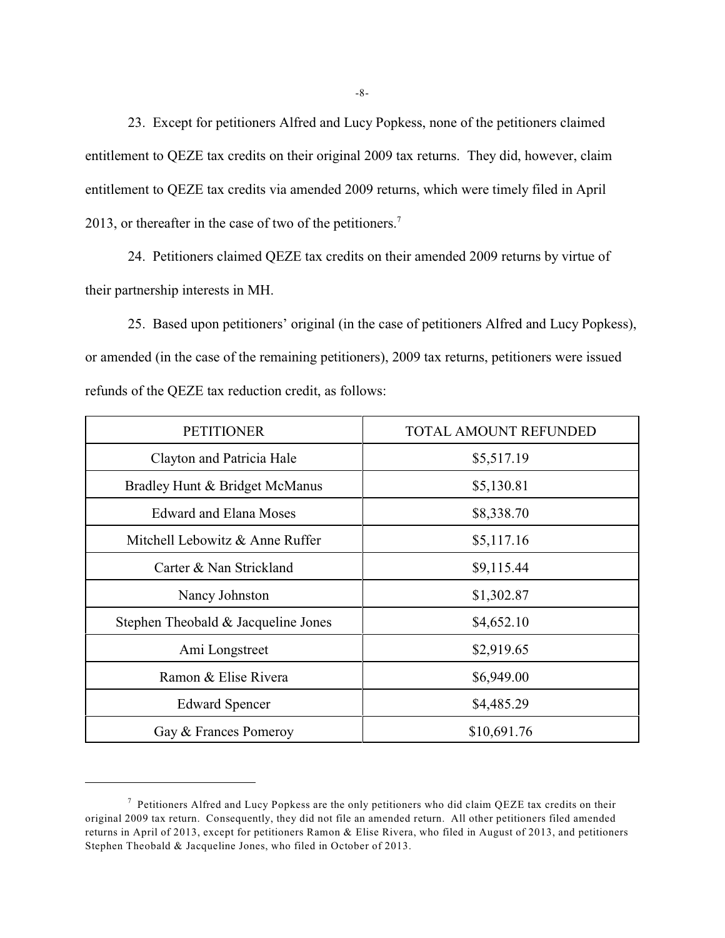23. Except for petitioners Alfred and Lucy Popkess, none of the petitioners claimed entitlement to QEZE tax credits on their original 2009 tax returns. They did, however, claim entitlement to QEZE tax credits via amended 2009 returns, which were timely filed in April 2013, or thereafter in the case of two of the petitioners.<sup>7</sup>

24. Petitioners claimed QEZE tax credits on their amended 2009 returns by virtue of their partnership interests in MH.

25. Based upon petitioners' original (in the case of petitioners Alfred and Lucy Popkess), or amended (in the case of the remaining petitioners), 2009 tax returns, petitioners were issued refunds of the QEZE tax reduction credit, as follows:

| <b>PETITIONER</b>                   | <b>TOTAL AMOUNT REFUNDED</b> |  |
|-------------------------------------|------------------------------|--|
| Clayton and Patricia Hale           | \$5,517.19                   |  |
| Bradley Hunt & Bridget McManus      | \$5,130.81                   |  |
| <b>Edward and Elana Moses</b>       | \$8,338.70                   |  |
| Mitchell Lebowitz & Anne Ruffer     | \$5,117.16                   |  |
| Carter & Nan Strickland             | \$9,115.44                   |  |
| Nancy Johnston                      | \$1,302.87                   |  |
| Stephen Theobald & Jacqueline Jones | \$4,652.10                   |  |
| Ami Longstreet                      | \$2,919.65                   |  |
| Ramon & Elise Rivera                | \$6,949.00                   |  |
| <b>Edward Spencer</b>               | \$4,485.29                   |  |
| Gay & Frances Pomeroy               | \$10,691.76                  |  |

<sup>&</sup>lt;sup>7</sup> Petitioners Alfred and Lucy Popkess are the only petitioners who did claim QEZE tax credits on their original 2009 tax return. Consequently, they did not file an amended return. All other petitioners filed amended returns in April of 2013, except for petitioners Ramon & Elise Rivera, who filed in August of 2013, and petitioners Stephen Theobald & Jacqueline Jones, who filed in October of 2013.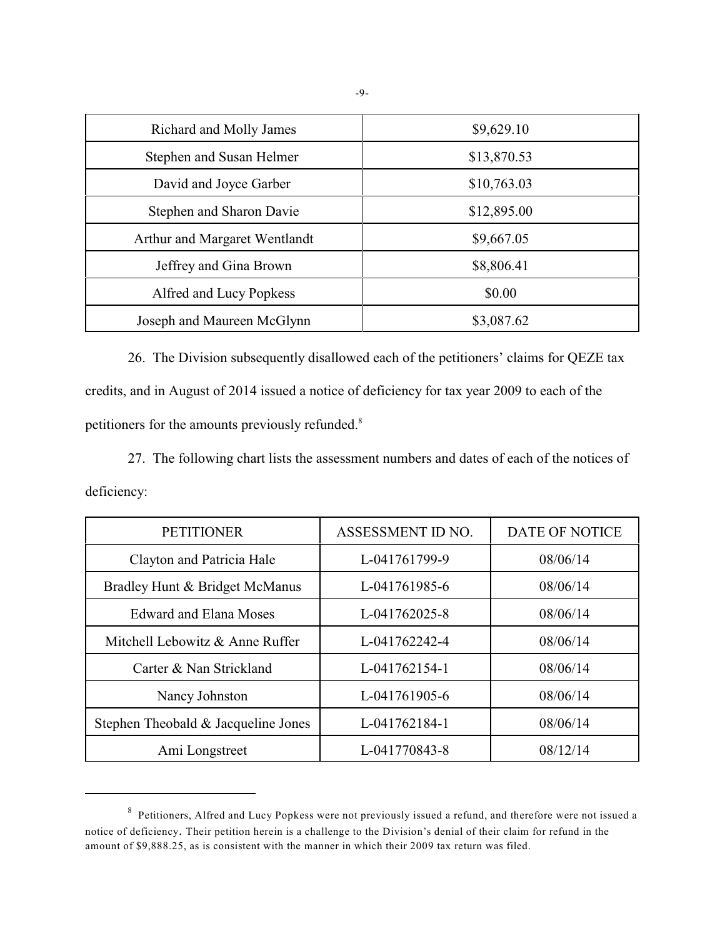| Richard and Molly James       | \$9,629.10  |  |  |
|-------------------------------|-------------|--|--|
| Stephen and Susan Helmer      | \$13,870.53 |  |  |
| David and Joyce Garber        | \$10,763.03 |  |  |
| Stephen and Sharon Davie      | \$12,895.00 |  |  |
| Arthur and Margaret Wentlandt | \$9,667.05  |  |  |
| Jeffrey and Gina Brown        | \$8,806.41  |  |  |
| Alfred and Lucy Popkess       | \$0.00      |  |  |
| Joseph and Maureen McGlynn    | \$3,087.62  |  |  |

26. The Division subsequently disallowed each of the petitioners' claims for QEZE tax credits, and in August of 2014 issued a notice of deficiency for tax year 2009 to each of the petitioners for the amounts previously refunded.<sup>8</sup>

27. The following chart lists the assessment numbers and dates of each of the notices of deficiency:

| <b>PETITIONER</b>                   | ASSESSMENT ID NO. | DATE OF NOTICE |
|-------------------------------------|-------------------|----------------|
| Clayton and Patricia Hale           | L-041761799-9     | 08/06/14       |
| Bradley Hunt & Bridget McManus      | L-041761985-6     | 08/06/14       |
| Edward and Elana Moses              | L-041762025-8     | 08/06/14       |
| Mitchell Lebowitz & Anne Ruffer     | L-041762242-4     | 08/06/14       |
| Carter & Nan Strickland             | L-041762154-1     | 08/06/14       |
| Nancy Johnston                      | L-041761905-6     | 08/06/14       |
| Stephen Theobald & Jacqueline Jones | L-041762184-1     | 08/06/14       |
| Ami Longstreet                      | L-041770843-8     | 08/12/14       |

 $8$  Petitioners, Alfred and Lucy Popkess were not previously issued a refund, and therefore were not issued a notice of deficiency. Their petition herein is a challenge to the Division's denial of their claim for refund in the amount of \$9,888.25, as is consistent with the manner in which their 2009 tax return was filed.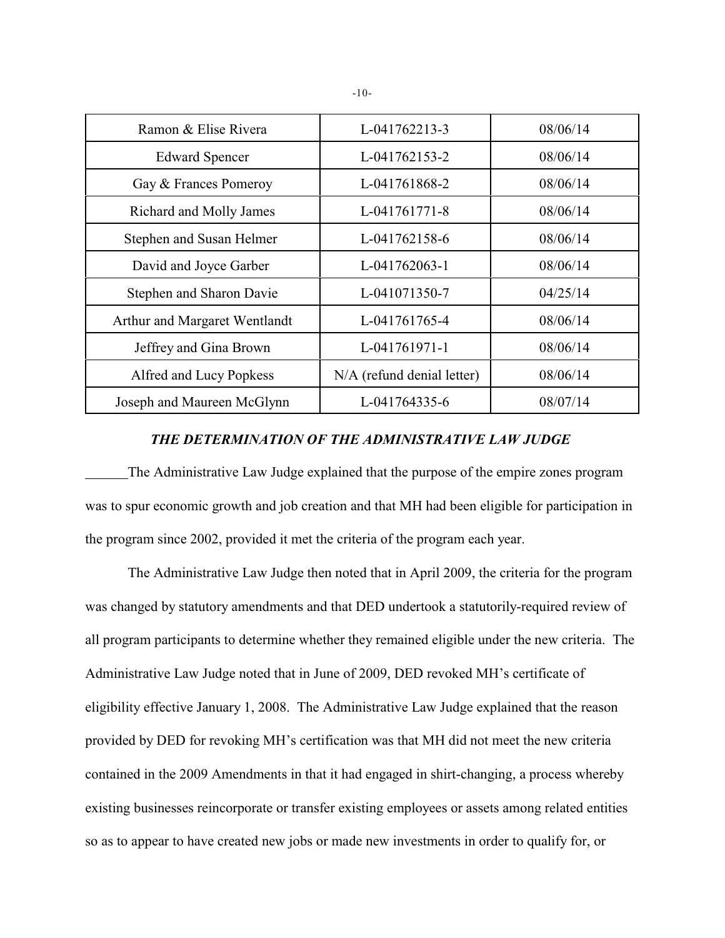| Ramon & Elise Rivera          | L-041762213-3              | 08/06/14 |
|-------------------------------|----------------------------|----------|
| <b>Edward Spencer</b>         | L-041762153-2              | 08/06/14 |
| Gay & Frances Pomeroy         | L-041761868-2              | 08/06/14 |
| Richard and Molly James       | L-041761771-8              | 08/06/14 |
| Stephen and Susan Helmer      | L-041762158-6              | 08/06/14 |
| David and Joyce Garber        | L-041762063-1              | 08/06/14 |
| Stephen and Sharon Davie      | L-041071350-7              | 04/25/14 |
| Arthur and Margaret Wentlandt | L-041761765-4              | 08/06/14 |
| Jeffrey and Gina Brown        | L-041761971-1              | 08/06/14 |
| Alfred and Lucy Popkess       | N/A (refund denial letter) | 08/06/14 |
| Joseph and Maureen McGlynn    | L-041764335-6              | 08/07/14 |

# *THE DETERMINATION OF THE ADMINISTRATIVE LAW JUDGE*

The Administrative Law Judge explained that the purpose of the empire zones program was to spur economic growth and job creation and that MH had been eligible for participation in the program since 2002, provided it met the criteria of the program each year.

The Administrative Law Judge then noted that in April 2009, the criteria for the program was changed by statutory amendments and that DED undertook a statutorily-required review of all program participants to determine whether they remained eligible under the new criteria. The Administrative Law Judge noted that in June of 2009, DED revoked MH's certificate of eligibility effective January 1, 2008. The Administrative Law Judge explained that the reason provided by DED for revoking MH's certification was that MH did not meet the new criteria contained in the 2009 Amendments in that it had engaged in shirt-changing, a process whereby existing businesses reincorporate or transfer existing employees or assets among related entities so as to appear to have created new jobs or made new investments in order to qualify for, or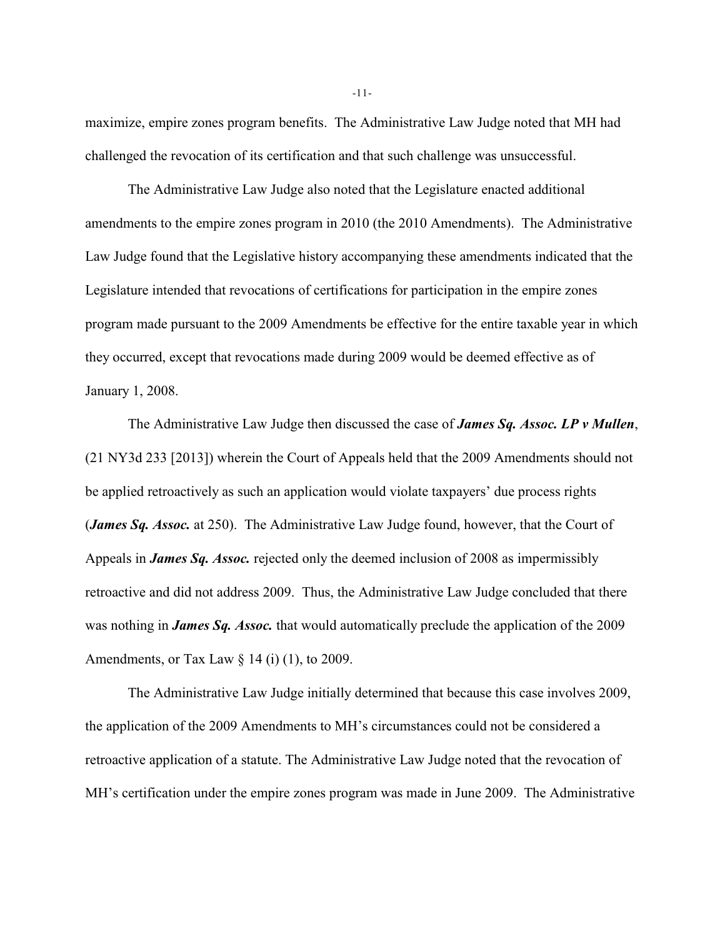maximize, empire zones program benefits. The Administrative Law Judge noted that MH had challenged the revocation of its certification and that such challenge was unsuccessful.

The Administrative Law Judge also noted that the Legislature enacted additional amendments to the empire zones program in 2010 (the 2010 Amendments). The Administrative Law Judge found that the Legislative history accompanying these amendments indicated that the Legislature intended that revocations of certifications for participation in the empire zones program made pursuant to the 2009 Amendments be effective for the entire taxable year in which they occurred, except that revocations made during 2009 would be deemed effective as of January 1, 2008.

The Administrative Law Judge then discussed the case of *James Sq. Assoc. LP v Mullen*, (21 NY3d 233 [2013]) wherein the Court of Appeals held that the 2009 Amendments should not be applied retroactively as such an application would violate taxpayers' due process rights (*James Sq. Assoc.* at 250). The Administrative Law Judge found, however, that the Court of Appeals in *James Sq. Assoc.* rejected only the deemed inclusion of 2008 as impermissibly retroactive and did not address 2009. Thus, the Administrative Law Judge concluded that there was nothing in *James Sq. Assoc.* that would automatically preclude the application of the 2009 Amendments, or Tax Law  $\S$  14 (i) (1), to 2009.

The Administrative Law Judge initially determined that because this case involves 2009, the application of the 2009 Amendments to MH's circumstances could not be considered a retroactive application of a statute. The Administrative Law Judge noted that the revocation of MH's certification under the empire zones program was made in June 2009. The Administrative

-11-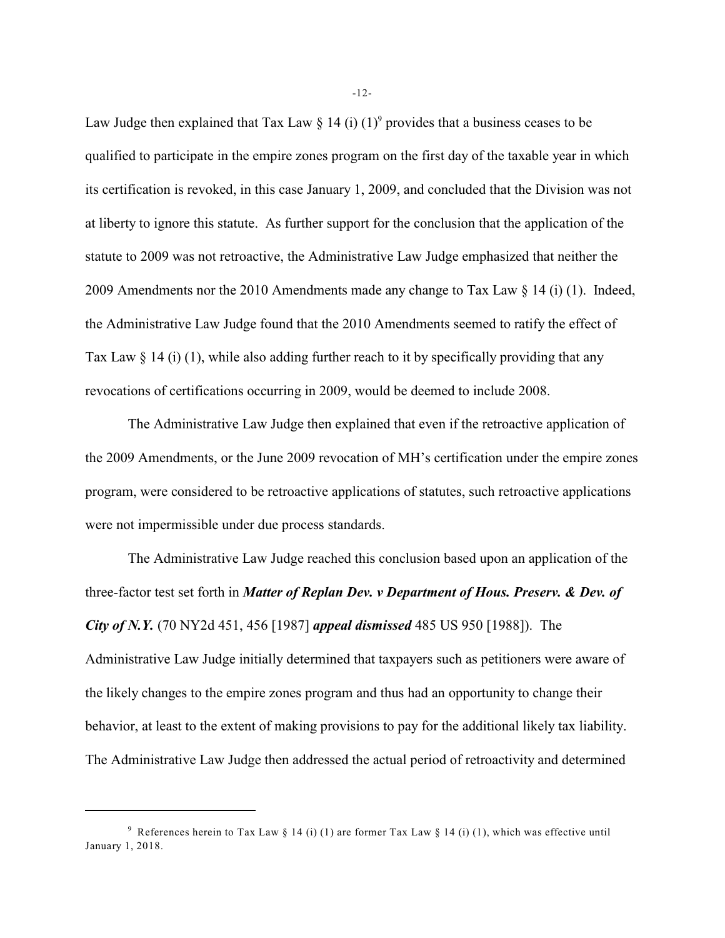Law Judge then explained that Tax Law  $\S 14$  (i) (1)<sup>9</sup> provides that a business ceases to be qualified to participate in the empire zones program on the first day of the taxable year in which its certification is revoked, in this case January 1, 2009, and concluded that the Division was not at liberty to ignore this statute. As further support for the conclusion that the application of the statute to 2009 was not retroactive, the Administrative Law Judge emphasized that neither the 2009 Amendments nor the 2010 Amendments made any change to Tax Law  $\S$  14 (i) (1). Indeed, the Administrative Law Judge found that the 2010 Amendments seemed to ratify the effect of Tax Law  $\S 14$  (i) (1), while also adding further reach to it by specifically providing that any revocations of certifications occurring in 2009, would be deemed to include 2008.

The Administrative Law Judge then explained that even if the retroactive application of the 2009 Amendments, or the June 2009 revocation of MH's certification under the empire zones program, were considered to be retroactive applications of statutes, such retroactive applications were not impermissible under due process standards.

The Administrative Law Judge reached this conclusion based upon an application of the three-factor test set forth in *Matter of Replan Dev. v Department of Hous. Preserv. & Dev. of City of N.Y.* (70 NY2d 451, 456 [1987] *appeal dismissed* 485 US 950 [1988]). The Administrative Law Judge initially determined that taxpayers such as petitioners were aware of the likely changes to the empire zones program and thus had an opportunity to change their behavior, at least to the extent of making provisions to pay for the additional likely tax liability. The Administrative Law Judge then addressed the actual period of retroactivity and determined

-12-

<sup>&</sup>lt;sup>9</sup> References herein to Tax Law § 14 (i) (1) are former Tax Law § 14 (i) (1), which was effective until January 1, 2018.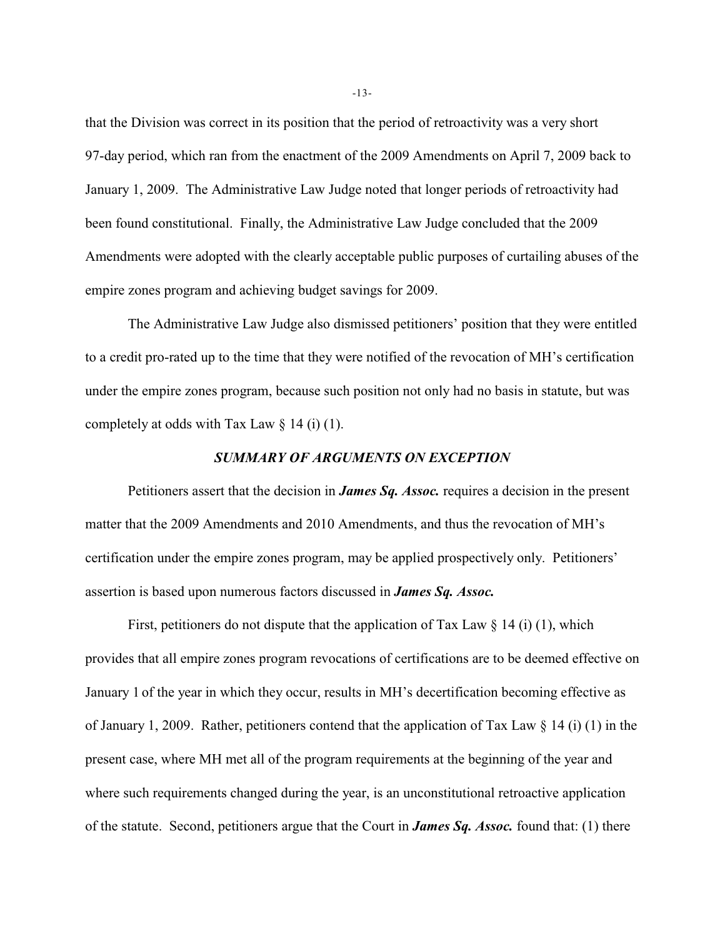that the Division was correct in its position that the period of retroactivity was a very short 97-day period, which ran from the enactment of the 2009 Amendments on April 7, 2009 back to January 1, 2009. The Administrative Law Judge noted that longer periods of retroactivity had been found constitutional. Finally, the Administrative Law Judge concluded that the 2009 Amendments were adopted with the clearly acceptable public purposes of curtailing abuses of the empire zones program and achieving budget savings for 2009.

The Administrative Law Judge also dismissed petitioners' position that they were entitled to a credit pro-rated up to the time that they were notified of the revocation of MH's certification under the empire zones program, because such position not only had no basis in statute, but was completely at odds with Tax Law  $\S$  14 (i) (1).

# *SUMMARY OF ARGUMENTS ON EXCEPTION*

Petitioners assert that the decision in *James Sq. Assoc.* requires a decision in the present matter that the 2009 Amendments and 2010 Amendments, and thus the revocation of MH's certification under the empire zones program, may be applied prospectively only. Petitioners' assertion is based upon numerous factors discussed in *James Sq. Assoc.*

First, petitioners do not dispute that the application of Tax Law  $\S$  14 (i) (1), which provides that all empire zones program revocations of certifications are to be deemed effective on January 1 of the year in which they occur, results in MH's decertification becoming effective as of January 1, 2009. Rather, petitioners contend that the application of Tax Law § 14 (i) (1) in the present case, where MH met all of the program requirements at the beginning of the year and where such requirements changed during the year, is an unconstitutional retroactive application of the statute. Second, petitioners argue that the Court in *James Sq. Assoc.* found that: (1) there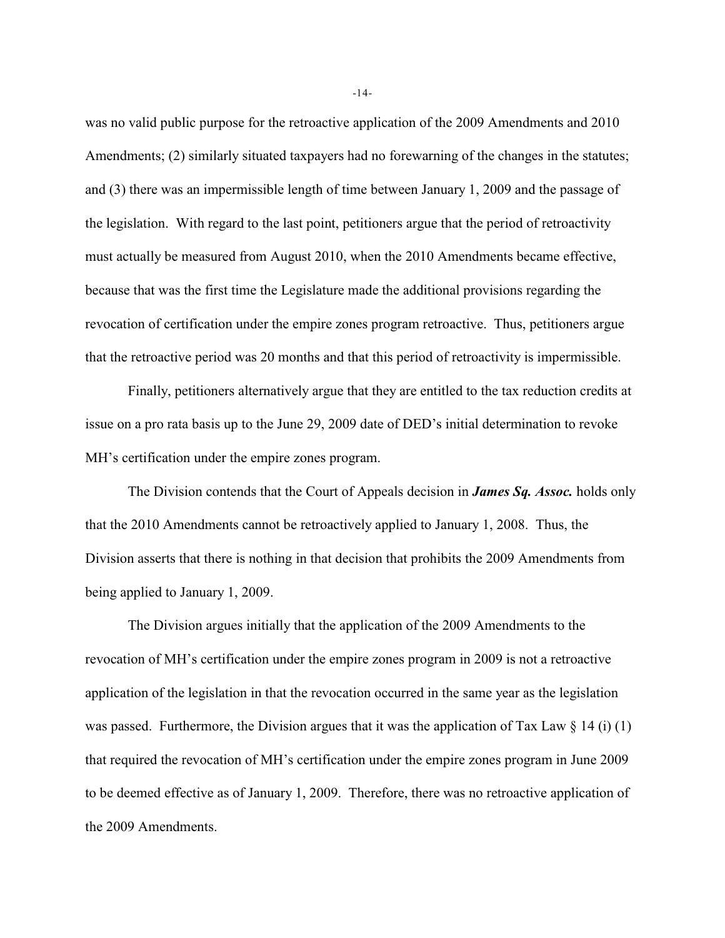was no valid public purpose for the retroactive application of the 2009 Amendments and 2010 Amendments; (2) similarly situated taxpayers had no forewarning of the changes in the statutes; and (3) there was an impermissible length of time between January 1, 2009 and the passage of the legislation. With regard to the last point, petitioners argue that the period of retroactivity must actually be measured from August 2010, when the 2010 Amendments became effective, because that was the first time the Legislature made the additional provisions regarding the revocation of certification under the empire zones program retroactive. Thus, petitioners argue that the retroactive period was 20 months and that this period of retroactivity is impermissible.

Finally, petitioners alternatively argue that they are entitled to the tax reduction credits at issue on a pro rata basis up to the June 29, 2009 date of DED's initial determination to revoke MH's certification under the empire zones program.

The Division contends that the Court of Appeals decision in *James Sq. Assoc.* holds only that the 2010 Amendments cannot be retroactively applied to January 1, 2008. Thus, the Division asserts that there is nothing in that decision that prohibits the 2009 Amendments from being applied to January 1, 2009.

The Division argues initially that the application of the 2009 Amendments to the revocation of MH's certification under the empire zones program in 2009 is not a retroactive application of the legislation in that the revocation occurred in the same year as the legislation was passed. Furthermore, the Division argues that it was the application of Tax Law  $\S 14$  (i) (1) that required the revocation of MH's certification under the empire zones program in June 2009 to be deemed effective as of January 1, 2009. Therefore, there was no retroactive application of the 2009 Amendments.

-14-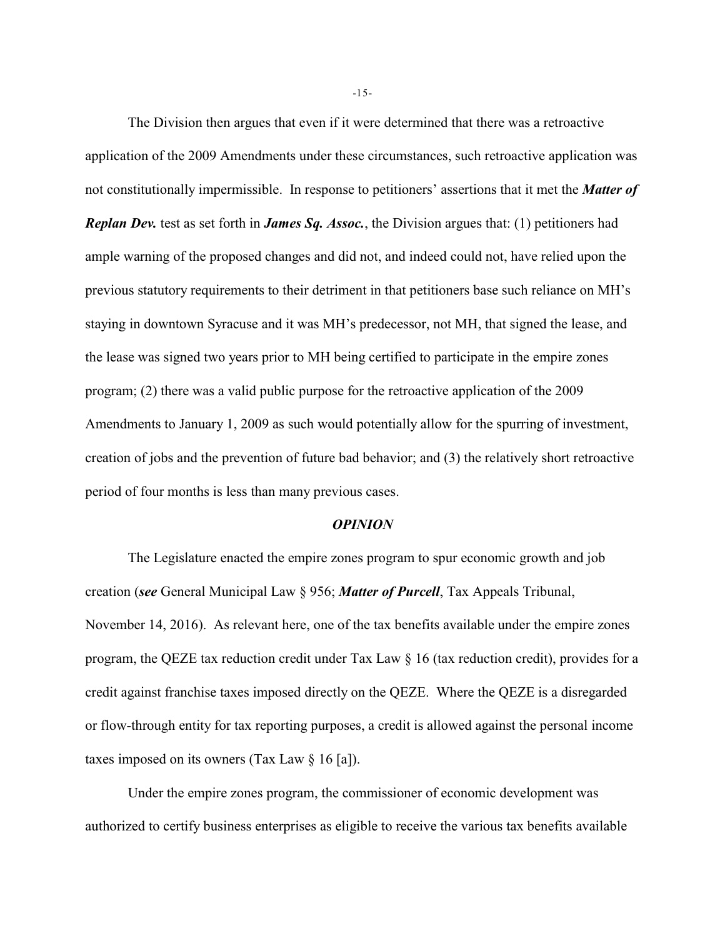The Division then argues that even if it were determined that there was a retroactive application of the 2009 Amendments under these circumstances, such retroactive application was not constitutionally impermissible. In response to petitioners' assertions that it met the *Matter of Replan Dev.* test as set forth in *James Sq. Assoc.*, the Division argues that: (1) petitioners had ample warning of the proposed changes and did not, and indeed could not, have relied upon the previous statutory requirements to their detriment in that petitioners base such reliance on MH's staying in downtown Syracuse and it was MH's predecessor, not MH, that signed the lease, and the lease was signed two years prior to MH being certified to participate in the empire zones program; (2) there was a valid public purpose for the retroactive application of the 2009 Amendments to January 1, 2009 as such would potentially allow for the spurring of investment, creation of jobs and the prevention of future bad behavior; and (3) the relatively short retroactive period of four months is less than many previous cases.

#### *OPINION*

The Legislature enacted the empire zones program to spur economic growth and job creation (*see* General Municipal Law § 956; *Matter of Purcell*, Tax Appeals Tribunal, November 14, 2016). As relevant here, one of the tax benefits available under the empire zones program, the QEZE tax reduction credit under Tax Law § 16 (tax reduction credit), provides for a credit against franchise taxes imposed directly on the QEZE. Where the QEZE is a disregarded or flow-through entity for tax reporting purposes, a credit is allowed against the personal income taxes imposed on its owners (Tax Law § 16 [a]).

Under the empire zones program, the commissioner of economic development was authorized to certify business enterprises as eligible to receive the various tax benefits available

-15-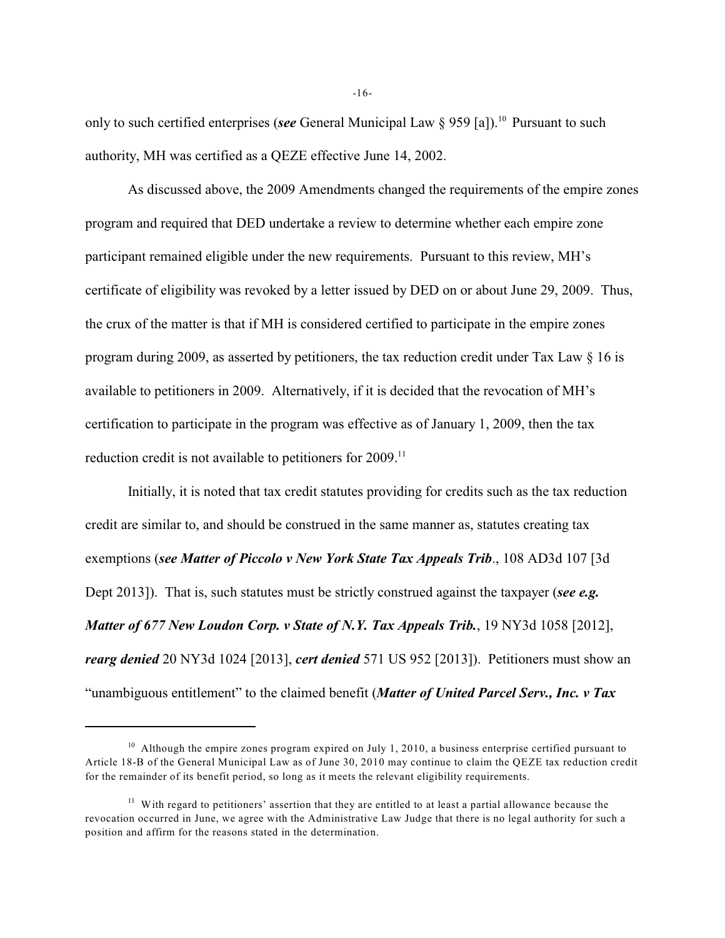only to such certified enterprises (*see* General Municipal Law § 959 [a]).<sup>10</sup> Pursuant to such authority, MH was certified as a QEZE effective June 14, 2002.

As discussed above, the 2009 Amendments changed the requirements of the empire zones program and required that DED undertake a review to determine whether each empire zone participant remained eligible under the new requirements. Pursuant to this review, MH's certificate of eligibility was revoked by a letter issued by DED on or about June 29, 2009. Thus, the crux of the matter is that if MH is considered certified to participate in the empire zones program during 2009, as asserted by petitioners, the tax reduction credit under Tax Law § 16 is available to petitioners in 2009. Alternatively, if it is decided that the revocation of MH's certification to participate in the program was effective as of January 1, 2009, then the tax reduction credit is not available to petitioners for 2009.<sup>11</sup>

Initially, it is noted that tax credit statutes providing for credits such as the tax reduction credit are similar to, and should be construed in the same manner as, statutes creating tax exemptions (*see Matter of Piccolo v New York State Tax Appeals Trib*., 108 AD3d 107 [3d Dept 2013]). That is, such statutes must be strictly construed against the taxpayer (*see e.g. Matter of 677 New Loudon Corp. v State of N.Y. Tax Appeals Trib.*, 19 NY3d 1058 [2012], *rearg denied* 20 NY3d 1024 [2013], *cert denied* 571 US 952 [2013]). Petitioners must show an "unambiguous entitlement" to the claimed benefit (*Matter of United Parcel Serv., Inc. v Tax*

 $10$  Although the empire zones program expired on July 1, 2010, a business enterprise certified pursuant to Article 18-B of the General Municipal Law as of June 30, 2010 may continue to claim the QEZE tax reduction credit for the remainder of its benefit period, so long as it meets the relevant eligibility requirements.

 $<sup>11</sup>$  With regard to petitioners' assertion that they are entitled to at least a partial allowance because the</sup> revocation occurred in June, we agree with the Administrative Law Judge that there is no legal authority for such a position and affirm for the reasons stated in the determination.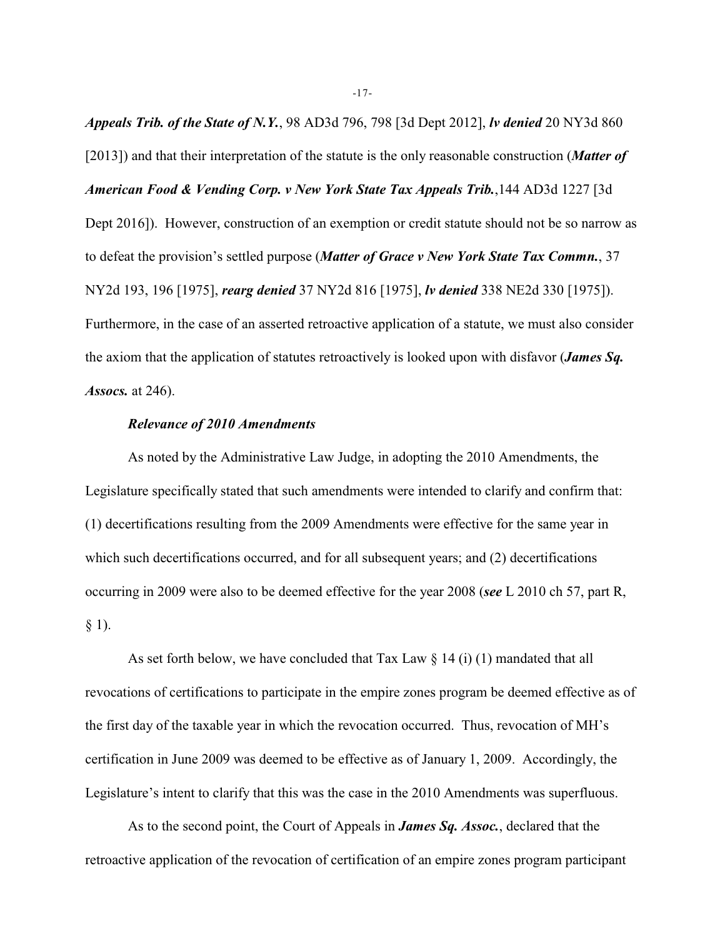*Appeals Trib. of the State of N.Y.*, 98 AD3d 796, 798 [3d Dept 2012], *lv denied* 20 NY3d 860 [2013]) and that their interpretation of the statute is the only reasonable construction (*Matter of American Food & Vending Corp. v New York State Tax Appeals Trib.*,144 AD3d 1227 [3d Dept 2016]). However, construction of an exemption or credit statute should not be so narrow as to defeat the provision's settled purpose (*Matter of Grace v New York State Tax Commn.*, 37 NY2d 193, 196 [1975], *rearg denied* 37 NY2d 816 [1975], *lv denied* 338 NE2d 330 [1975]). Furthermore, in the case of an asserted retroactive application of a statute, we must also consider the axiom that the application of statutes retroactively is looked upon with disfavor (*James Sq. Assocs.* at 246).

# *Relevance of 2010 Amendments*

As noted by the Administrative Law Judge, in adopting the 2010 Amendments, the Legislature specifically stated that such amendments were intended to clarify and confirm that: (1) decertifications resulting from the 2009 Amendments were effective for the same year in which such decertifications occurred, and for all subsequent years; and (2) decertifications occurring in 2009 were also to be deemed effective for the year 2008 (*see* L 2010 ch 57, part R,  $§$  1).

As set forth below, we have concluded that Tax Law  $\S 14$  (i) (1) mandated that all revocations of certifications to participate in the empire zones program be deemed effective as of the first day of the taxable year in which the revocation occurred. Thus, revocation of MH's certification in June 2009 was deemed to be effective as of January 1, 2009. Accordingly, the Legislature's intent to clarify that this was the case in the 2010 Amendments was superfluous.

As to the second point, the Court of Appeals in *James Sq. Assoc.*, declared that the retroactive application of the revocation of certification of an empire zones program participant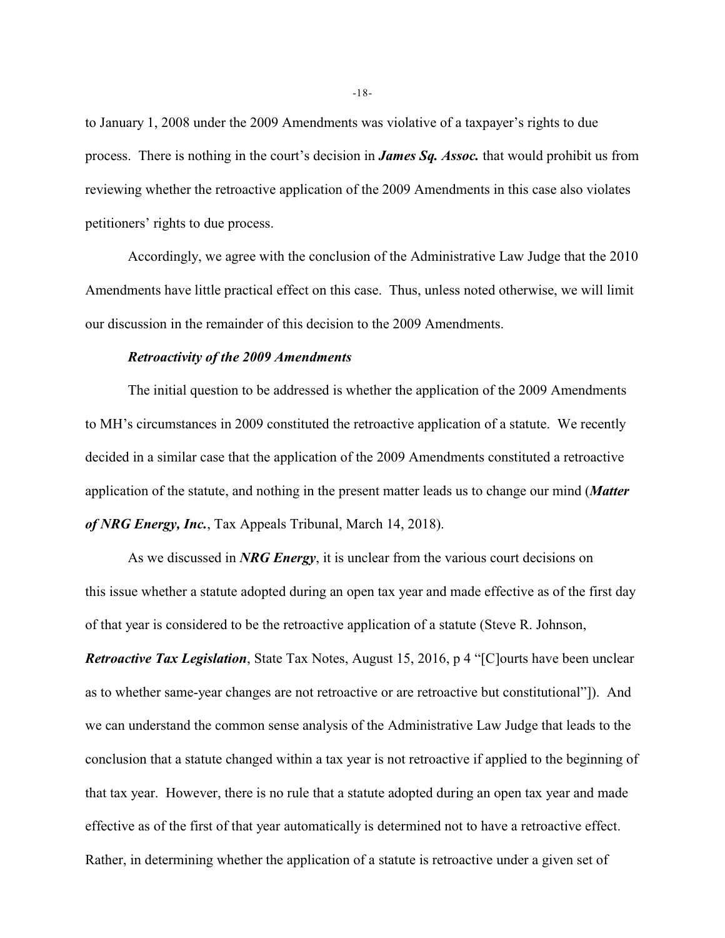to January 1, 2008 under the 2009 Amendments was violative of a taxpayer's rights to due process. There is nothing in the court's decision in *James Sq. Assoc.* that would prohibit us from reviewing whether the retroactive application of the 2009 Amendments in this case also violates petitioners' rights to due process.

Accordingly, we agree with the conclusion of the Administrative Law Judge that the 2010 Amendments have little practical effect on this case. Thus, unless noted otherwise, we will limit our discussion in the remainder of this decision to the 2009 Amendments.

#### *Retroactivity of the 2009 Amendments*

The initial question to be addressed is whether the application of the 2009 Amendments to MH's circumstances in 2009 constituted the retroactive application of a statute. We recently decided in a similar case that the application of the 2009 Amendments constituted a retroactive application of the statute, and nothing in the present matter leads us to change our mind (*Matter of NRG Energy, Inc.*, Tax Appeals Tribunal, March 14, 2018).

As we discussed in *NRG Energy*, it is unclear from the various court decisions on this issue whether a statute adopted during an open tax year and made effective as of the first day of that year is considered to be the retroactive application of a statute (Steve R. Johnson,

*Retroactive Tax Legislation*, State Tax Notes, August 15, 2016, p 4 "[C]ourts have been unclear as to whether same-year changes are not retroactive or are retroactive but constitutional"]). And we can understand the common sense analysis of the Administrative Law Judge that leads to the conclusion that a statute changed within a tax year is not retroactive if applied to the beginning of that tax year. However, there is no rule that a statute adopted during an open tax year and made effective as of the first of that year automatically is determined not to have a retroactive effect. Rather, in determining whether the application of a statute is retroactive under a given set of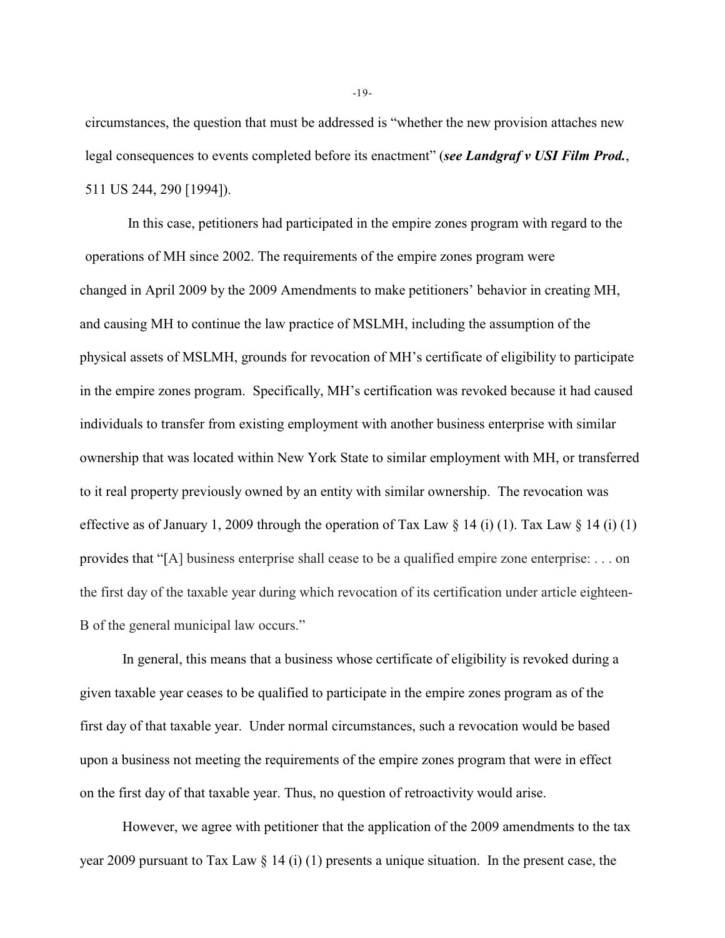circumstances, the question that must be addressed is "whether the new provision attaches new legal consequences to events completed before its enactment" (*see Landgraf v USI Film Prod.*, 511 US 244, 290 [1994]).

In this case, petitioners had participated in the empire zones program with regard to the operations of MH since 2002. The requirements of the empire zones program were changed in April 2009 by the 2009 Amendments to make petitioners' behavior in creating MH, and causing MH to continue the law practice of MSLMH, including the assumption of the physical assets of MSLMH, grounds for revocation of MH's certificate of eligibility to participate in the empire zones program. Specifically, MH's certification was revoked because it had caused individuals to transfer from existing employment with another business enterprise with similar ownership that was located within New York State to similar employment with MH, or transferred to it real property previously owned by an entity with similar ownership. The revocation was effective as of January 1, 2009 through the operation of Tax Law  $\S 14$  (i) (1). Tax Law  $\S 14$  (i) (1) provides that "[A] business enterprise shall cease to be a qualified empire zone enterprise: . . . on the first day of the taxable year during which revocation of its certification under article eighteen-B of the general municipal law occurs."

In general, this means that a business whose certificate of eligibility is revoked during a given taxable year ceases to be qualified to participate in the empire zones program as of the first day of that taxable year. Under normal circumstances, such a revocation would be based upon a business not meeting the requirements of the empire zones program that were in effect on the first day of that taxable year. Thus, no question of retroactivity would arise.

However, we agree with petitioner that the application of the 2009 amendments to the tax year 2009 pursuant to Tax Law § 14 (i) (1) presents a unique situation. In the present case, the

-19-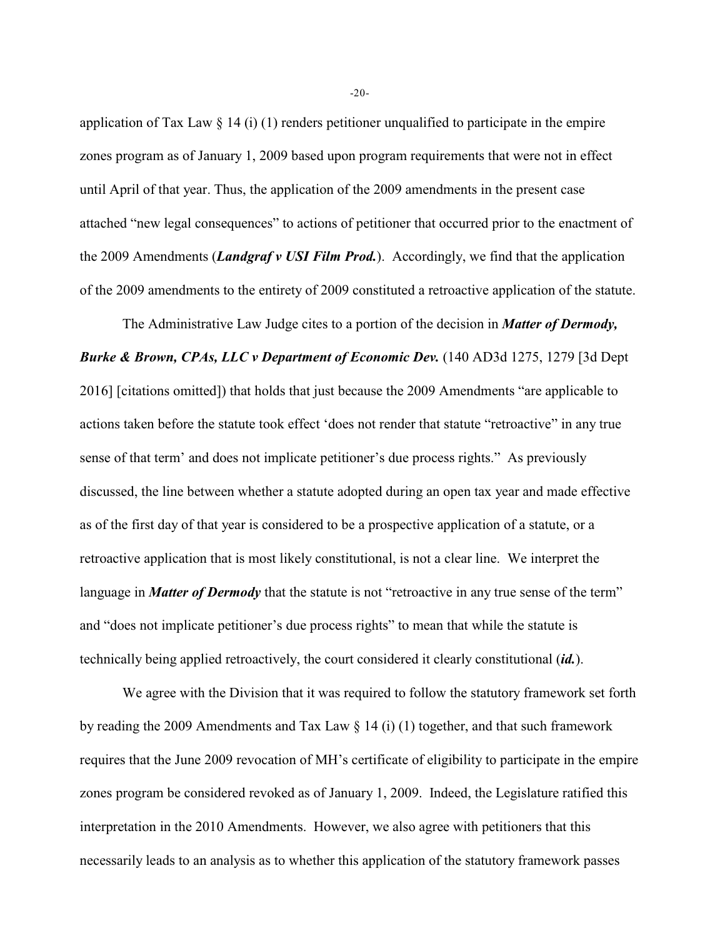application of Tax Law  $\S 14$  (i) (1) renders petitioner unqualified to participate in the empire zones program as of January 1, 2009 based upon program requirements that were not in effect until April of that year. Thus, the application of the 2009 amendments in the present case attached "new legal consequences" to actions of petitioner that occurred prior to the enactment of the 2009 Amendments (*Landgraf v USI Film Prod.*). Accordingly, we find that the application of the 2009 amendments to the entirety of 2009 constituted a retroactive application of the statute.

The Administrative Law Judge cites to a portion of the decision in *Matter of Dermody, Burke & Brown, CPAs, LLC v Department of Economic Dev.* (140 AD3d 1275, 1279 [3d Dept 2016] [citations omitted]) that holds that just because the 2009 Amendments "are applicable to actions taken before the statute took effect 'does not render that statute "retroactive" in any true sense of that term' and does not implicate petitioner's due process rights." As previously discussed, the line between whether a statute adopted during an open tax year and made effective as of the first day of that year is considered to be a prospective application of a statute, or a retroactive application that is most likely constitutional, is not a clear line. We interpret the language in *Matter of Dermody* that the statute is not "retroactive in any true sense of the term" and "does not implicate petitioner's due process rights" to mean that while the statute is technically being applied retroactively, the court considered it clearly constitutional (*id.*).

We agree with the Division that it was required to follow the statutory framework set forth by reading the 2009 Amendments and Tax Law  $\S$  14 (i) (1) together, and that such framework requires that the June 2009 revocation of MH's certificate of eligibility to participate in the empire zones program be considered revoked as of January 1, 2009. Indeed, the Legislature ratified this interpretation in the 2010 Amendments. However, we also agree with petitioners that this necessarily leads to an analysis as to whether this application of the statutory framework passes

-20-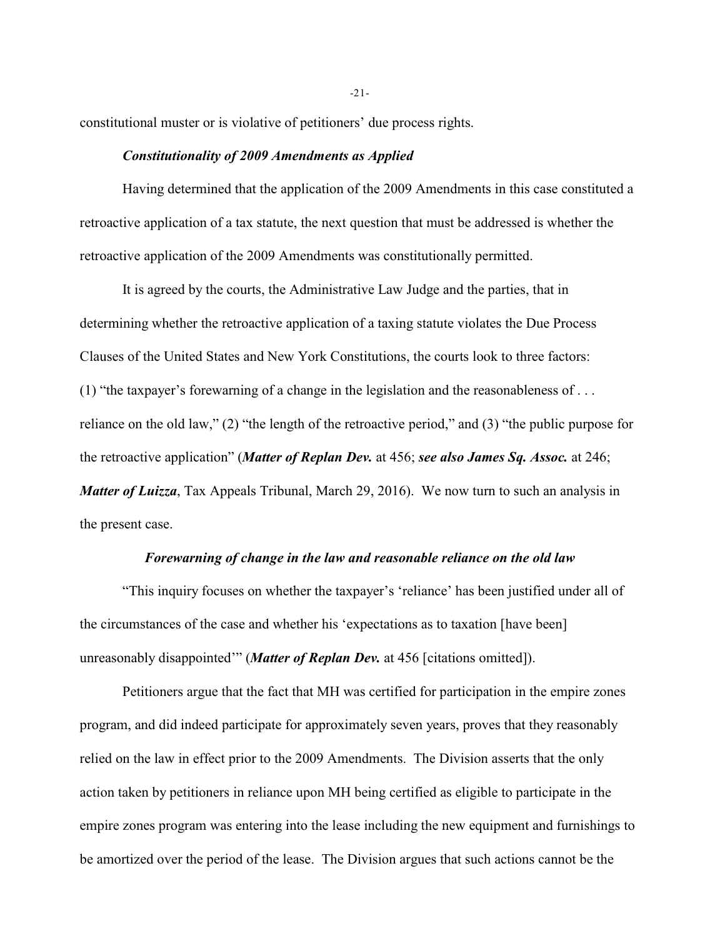constitutional muster or is violative of petitioners' due process rights.

# *Constitutionality of 2009 Amendments as Applied*

Having determined that the application of the 2009 Amendments in this case constituted a retroactive application of a tax statute, the next question that must be addressed is whether the retroactive application of the 2009 Amendments was constitutionally permitted.

It is agreed by the courts, the Administrative Law Judge and the parties, that in determining whether the retroactive application of a taxing statute violates the Due Process Clauses of the United States and New York Constitutions, the courts look to three factors: (1) "the taxpayer's forewarning of a change in the legislation and the reasonableness of . . . reliance on the old law," (2) "the length of the retroactive period," and (3) "the public purpose for the retroactive application" (*Matter of Replan Dev.* at 456; *see also James Sq. Assoc.* at 246; *Matter of Luizza*, Tax Appeals Tribunal, March 29, 2016). We now turn to such an analysis in the present case.

# *Forewarning of change in the law and reasonable reliance on the old law*

"This inquiry focuses on whether the taxpayer's 'reliance' has been justified under all of the circumstances of the case and whether his 'expectations as to taxation [have been] unreasonably disappointed'" (*Matter of Replan Dev.* at 456 [citations omitted]).

Petitioners argue that the fact that MH was certified for participation in the empire zones program, and did indeed participate for approximately seven years, proves that they reasonably relied on the law in effect prior to the 2009 Amendments. The Division asserts that the only action taken by petitioners in reliance upon MH being certified as eligible to participate in the empire zones program was entering into the lease including the new equipment and furnishings to be amortized over the period of the lease. The Division argues that such actions cannot be the

-21-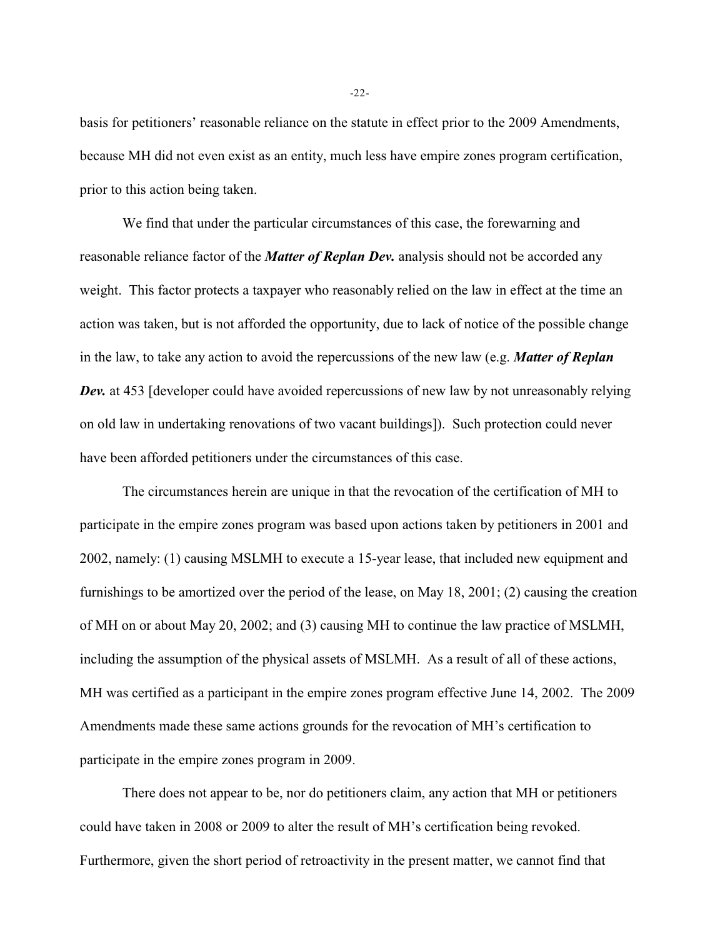basis for petitioners' reasonable reliance on the statute in effect prior to the 2009 Amendments, because MH did not even exist as an entity, much less have empire zones program certification, prior to this action being taken.

We find that under the particular circumstances of this case, the forewarning and reasonable reliance factor of the *Matter of Replan Dev.* analysis should not be accorded any weight. This factor protects a taxpayer who reasonably relied on the law in effect at the time an action was taken, but is not afforded the opportunity, due to lack of notice of the possible change in the law, to take any action to avoid the repercussions of the new law (e.g. *Matter of Replan Dev.* at 453 [developer could have avoided repercussions of new law by not unreasonably relying on old law in undertaking renovations of two vacant buildings]). Such protection could never have been afforded petitioners under the circumstances of this case.

The circumstances herein are unique in that the revocation of the certification of MH to participate in the empire zones program was based upon actions taken by petitioners in 2001 and 2002, namely: (1) causing MSLMH to execute a 15-year lease, that included new equipment and furnishings to be amortized over the period of the lease, on May 18, 2001; (2) causing the creation of MH on or about May 20, 2002; and (3) causing MH to continue the law practice of MSLMH, including the assumption of the physical assets of MSLMH. As a result of all of these actions, MH was certified as a participant in the empire zones program effective June 14, 2002. The 2009 Amendments made these same actions grounds for the revocation of MH's certification to participate in the empire zones program in 2009.

There does not appear to be, nor do petitioners claim, any action that MH or petitioners could have taken in 2008 or 2009 to alter the result of MH's certification being revoked. Furthermore, given the short period of retroactivity in the present matter, we cannot find that

-22-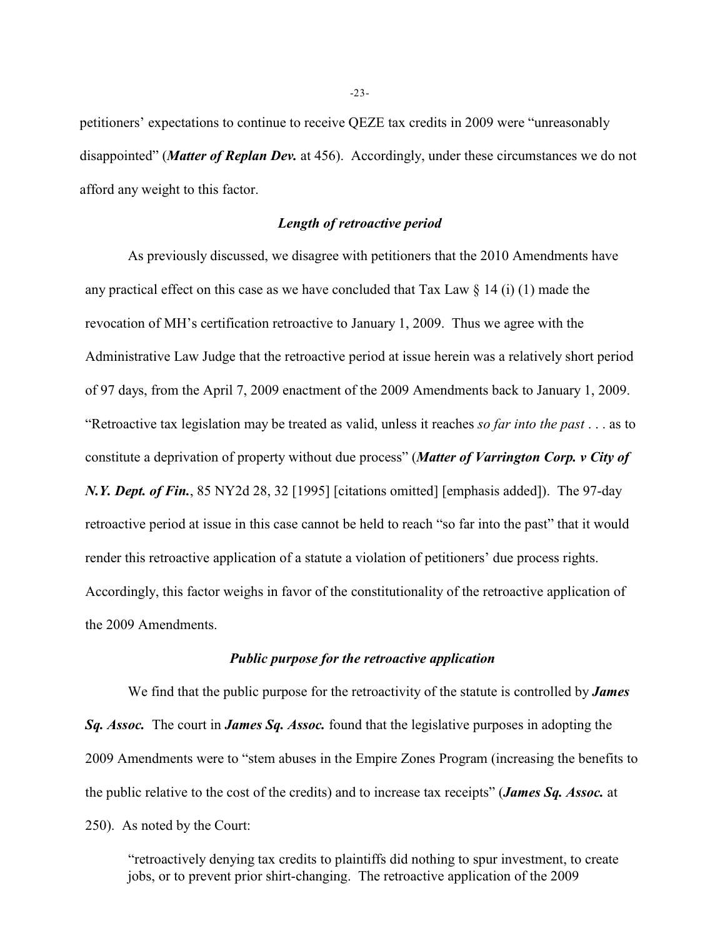petitioners' expectations to continue to receive QEZE tax credits in 2009 were "unreasonably disappointed" (*Matter of Replan Dev.* at 456). Accordingly, under these circumstances we do not afford any weight to this factor.

# *Length of retroactive period*

As previously discussed, we disagree with petitioners that the 2010 Amendments have any practical effect on this case as we have concluded that Tax Law  $\S$  14 (i) (1) made the revocation of MH's certification retroactive to January 1, 2009. Thus we agree with the Administrative Law Judge that the retroactive period at issue herein was a relatively short period of 97 days, from the April 7, 2009 enactment of the 2009 Amendments back to January 1, 2009. "Retroactive tax legislation may be treated as valid, unless it reaches *so far into the past* . . . as to constitute a deprivation of property without due process" (*Matter of Varrington Corp. v City of N.Y. Dept. of Fin.*, 85 NY2d 28, 32 [1995] [citations omitted] [emphasis added]). The 97-day retroactive period at issue in this case cannot be held to reach "so far into the past" that it would render this retroactive application of a statute a violation of petitioners' due process rights. Accordingly, this factor weighs in favor of the constitutionality of the retroactive application of the 2009 Amendments.

# *Public purpose for the retroactive application*

We find that the public purpose for the retroactivity of the statute is controlled by *James Sq. Assoc.* The court in *James Sq. Assoc.* found that the legislative purposes in adopting the 2009 Amendments were to "stem abuses in the Empire Zones Program (increasing the benefits to the public relative to the cost of the credits) and to increase tax receipts" (*James Sq. Assoc.* at 250). As noted by the Court:

"retroactively denying tax credits to plaintiffs did nothing to spur investment, to create jobs, or to prevent prior shirt-changing. The retroactive application of the 2009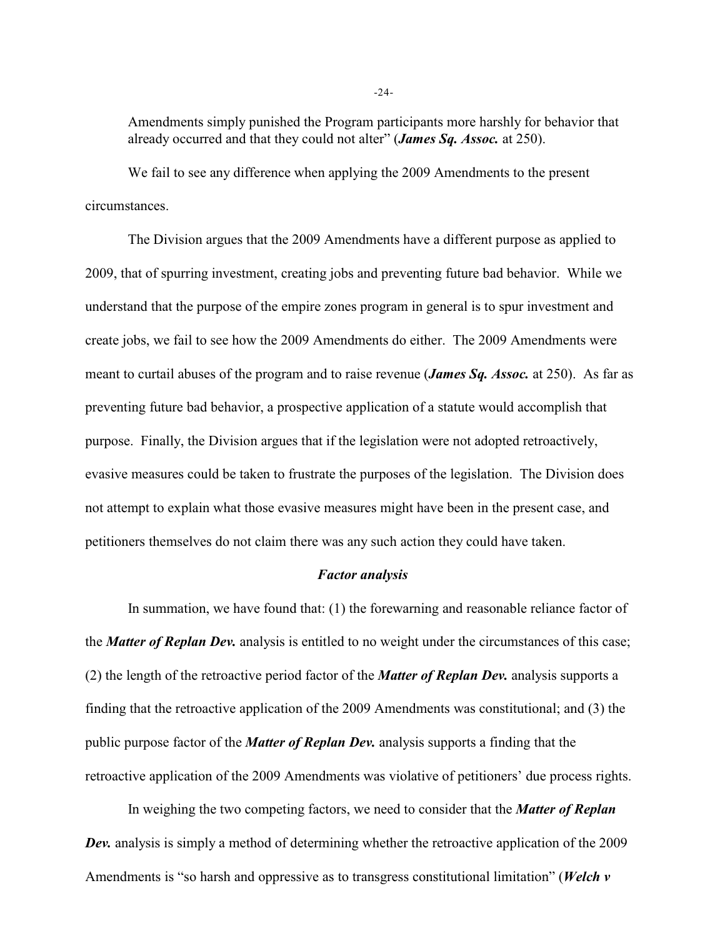Amendments simply punished the Program participants more harshly for behavior that already occurred and that they could not alter" (*James Sq. Assoc.* at 250).

We fail to see any difference when applying the 2009 Amendments to the present circumstances.

The Division argues that the 2009 Amendments have a different purpose as applied to 2009, that of spurring investment, creating jobs and preventing future bad behavior. While we understand that the purpose of the empire zones program in general is to spur investment and create jobs, we fail to see how the 2009 Amendments do either. The 2009 Amendments were meant to curtail abuses of the program and to raise revenue (*James Sq. Assoc.* at 250). As far as preventing future bad behavior, a prospective application of a statute would accomplish that purpose. Finally, the Division argues that if the legislation were not adopted retroactively, evasive measures could be taken to frustrate the purposes of the legislation. The Division does not attempt to explain what those evasive measures might have been in the present case, and petitioners themselves do not claim there was any such action they could have taken.

## *Factor analysis*

In summation, we have found that: (1) the forewarning and reasonable reliance factor of the *Matter of Replan Dev.* analysis is entitled to no weight under the circumstances of this case; (2) the length of the retroactive period factor of the *Matter of Replan Dev.* analysis supports a finding that the retroactive application of the 2009 Amendments was constitutional; and (3) the public purpose factor of the *Matter of Replan Dev.* analysis supports a finding that the retroactive application of the 2009 Amendments was violative of petitioners' due process rights.

In weighing the two competing factors, we need to consider that the *Matter of Replan* **Dev.** analysis is simply a method of determining whether the retroactive application of the 2009 Amendments is "so harsh and oppressive as to transgress constitutional limitation" (*Welch v*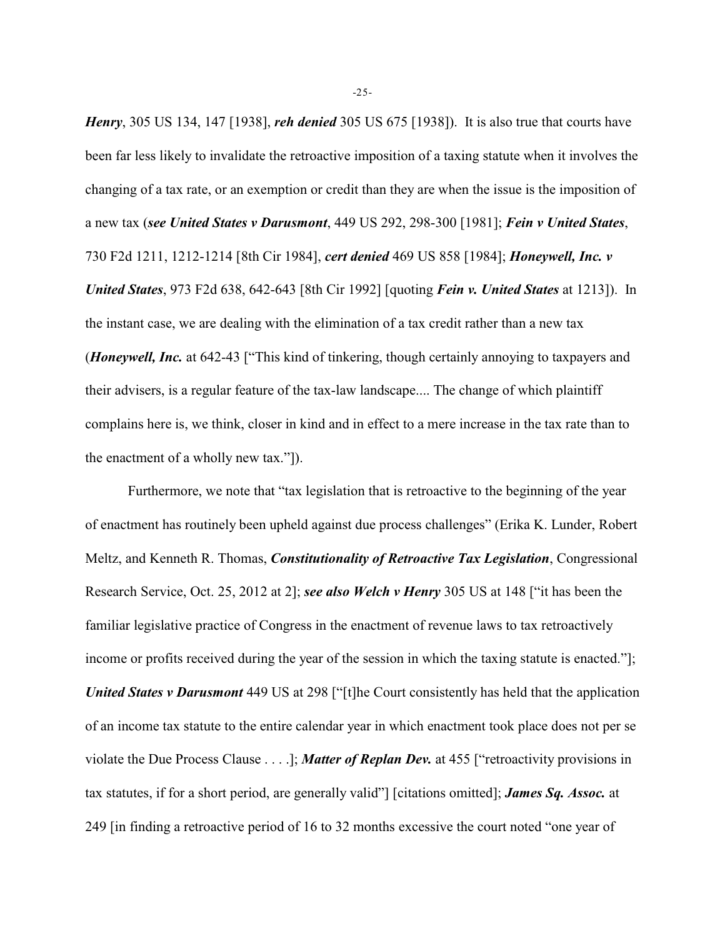*Henry*, 305 US 134, 147 [1938], *reh denied* 305 US 675 [1938]). It is also true that courts have been far less likely to invalidate the retroactive imposition of a taxing statute when it involves the changing of a tax rate, or an exemption or credit than they are when the issue is the imposition of a new tax (*see United States v Darusmont*, 449 US 292, 298-300 [1981]; *Fein v United States*, 730 F2d 1211, 1212-1214 [8th Cir 1984], *cert denied* 469 US 858 [1984]; *Honeywell, Inc. v United States*, 973 F2d 638, 642-643 [8th Cir 1992] [quoting *Fein v. United States* at 1213]). In the instant case, we are dealing with the elimination of a tax credit rather than a new tax (*Honeywell, Inc.* at 642-43 ["This kind of tinkering, though certainly annoying to taxpayers and their advisers, is a regular feature of the tax-law landscape.... The change of which plaintiff complains here is, we think, closer in kind and in effect to a mere increase in the tax rate than to the enactment of a wholly new tax."]).

Furthermore, we note that "tax legislation that is retroactive to the beginning of the year of enactment has routinely been upheld against due process challenges" (Erika K. Lunder, Robert Meltz, and Kenneth R. Thomas, *Constitutionality of Retroactive Tax Legislation*, Congressional Research Service, Oct. 25, 2012 at 2]; *see also Welch v Henry* 305 US at 148 ["it has been the familiar legislative practice of Congress in the enactment of revenue laws to tax retroactively income or profits received during the year of the session in which the taxing statute is enacted."]; *United States v Darusmont* 449 US at 298 ["[t]he Court consistently has held that the application of an income tax statute to the entire calendar year in which enactment took place does not per se violate the Due Process Clause . . . .]; *Matter of Replan Dev.* at 455 ["retroactivity provisions in tax statutes, if for a short period, are generally valid"] [citations omitted]; *James Sq. Assoc.* at 249 [in finding a retroactive period of 16 to 32 months excessive the court noted "one year of

-25-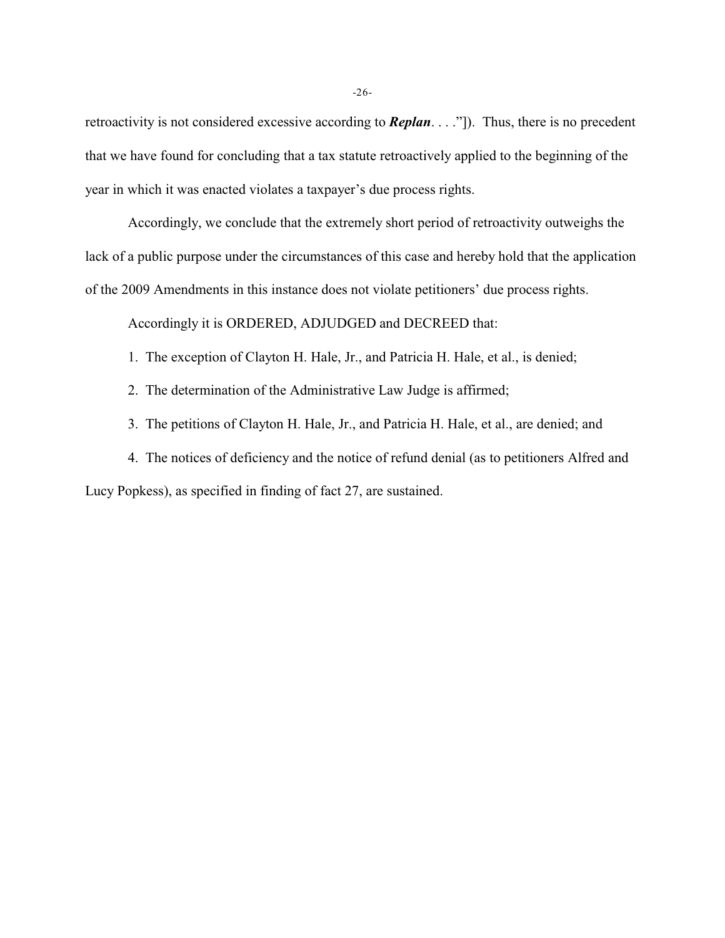retroactivity is not considered excessive according to *Replan*. . . ."]). Thus, there is no precedent that we have found for concluding that a tax statute retroactively applied to the beginning of the year in which it was enacted violates a taxpayer's due process rights.

Accordingly, we conclude that the extremely short period of retroactivity outweighs the lack of a public purpose under the circumstances of this case and hereby hold that the application of the 2009 Amendments in this instance does not violate petitioners' due process rights.

Accordingly it is ORDERED, ADJUDGED and DECREED that:

- 1. The exception of Clayton H. Hale, Jr., and Patricia H. Hale, et al., is denied;
- 2. The determination of the Administrative Law Judge is affirmed;

3. The petitions of Clayton H. Hale, Jr., and Patricia H. Hale, et al., are denied; and

4. The notices of deficiency and the notice of refund denial (as to petitioners Alfred and Lucy Popkess), as specified in finding of fact 27, are sustained.